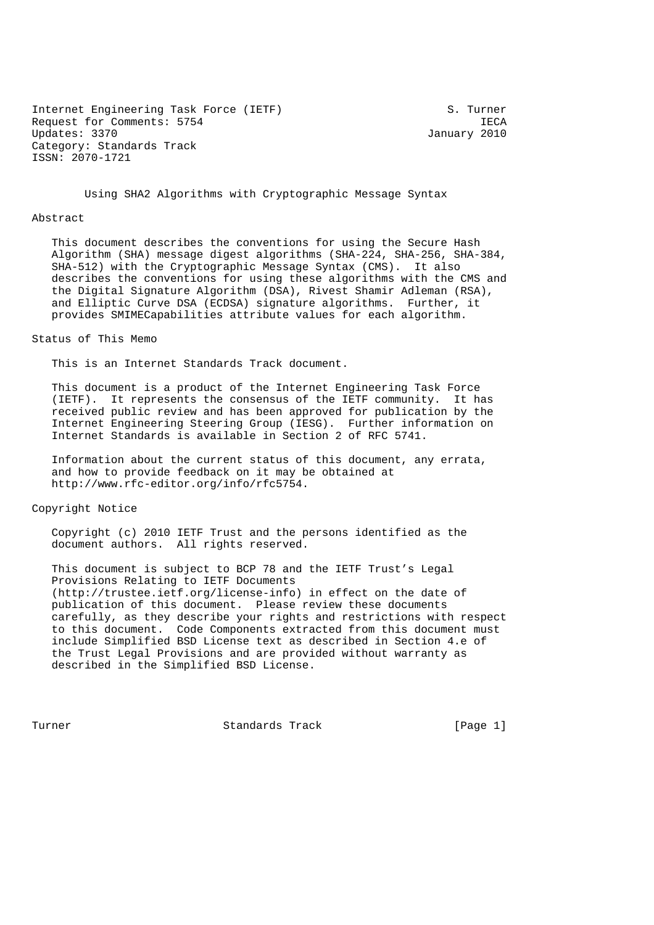Internet Engineering Task Force (IETF) S. Turner Request for Comments: 5754 IECA Updates: 3370 January 2010 Category: Standards Track ISSN: 2070-1721

Using SHA2 Algorithms with Cryptographic Message Syntax

#### Abstract

 This document describes the conventions for using the Secure Hash Algorithm (SHA) message digest algorithms (SHA-224, SHA-256, SHA-384, SHA-512) with the Cryptographic Message Syntax (CMS). It also describes the conventions for using these algorithms with the CMS and the Digital Signature Algorithm (DSA), Rivest Shamir Adleman (RSA), and Elliptic Curve DSA (ECDSA) signature algorithms. Further, it provides SMIMECapabilities attribute values for each algorithm.

### Status of This Memo

This is an Internet Standards Track document.

 This document is a product of the Internet Engineering Task Force (IETF). It represents the consensus of the IETF community. It has received public review and has been approved for publication by the Internet Engineering Steering Group (IESG). Further information on Internet Standards is available in Section 2 of RFC 5741.

 Information about the current status of this document, any errata, and how to provide feedback on it may be obtained at http://www.rfc-editor.org/info/rfc5754.

## Copyright Notice

 Copyright (c) 2010 IETF Trust and the persons identified as the document authors. All rights reserved.

 This document is subject to BCP 78 and the IETF Trust's Legal Provisions Relating to IETF Documents (http://trustee.ietf.org/license-info) in effect on the date of publication of this document. Please review these documents carefully, as they describe your rights and restrictions with respect to this document. Code Components extracted from this document must include Simplified BSD License text as described in Section 4.e of the Trust Legal Provisions and are provided without warranty as described in the Simplified BSD License.

Turner Standards Track [Page 1]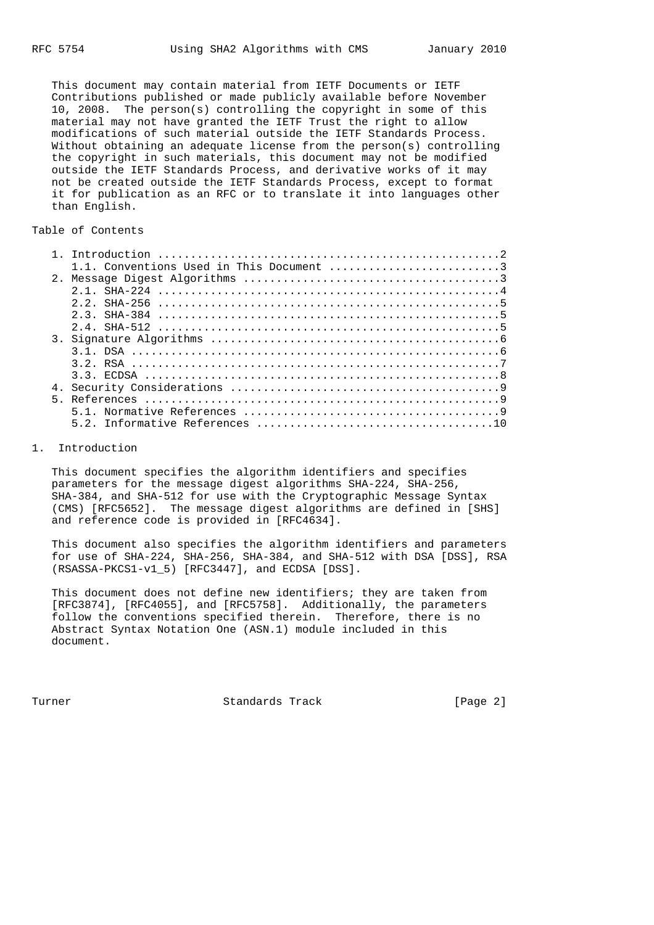This document may contain material from IETF Documents or IETF Contributions published or made publicly available before November 10, 2008. The person(s) controlling the copyright in some of this material may not have granted the IETF Trust the right to allow modifications of such material outside the IETF Standards Process. Without obtaining an adequate license from the person(s) controlling the copyright in such materials, this document may not be modified outside the IETF Standards Process, and derivative works of it may not be created outside the IETF Standards Process, except to format it for publication as an RFC or to translate it into languages other than English.

## Table of Contents

|  | 1.1. Conventions Used in This Document 3 |
|--|------------------------------------------|
|  |                                          |
|  |                                          |
|  |                                          |
|  |                                          |
|  |                                          |
|  |                                          |
|  |                                          |
|  |                                          |
|  |                                          |
|  |                                          |
|  |                                          |
|  |                                          |
|  |                                          |
|  |                                          |

## 1. Introduction

 This document specifies the algorithm identifiers and specifies parameters for the message digest algorithms SHA-224, SHA-256, SHA-384, and SHA-512 for use with the Cryptographic Message Syntax (CMS) [RFC5652]. The message digest algorithms are defined in [SHS] and reference code is provided in [RFC4634].

 This document also specifies the algorithm identifiers and parameters for use of SHA-224, SHA-256, SHA-384, and SHA-512 with DSA [DSS], RSA (RSASSA-PKCS1-v1\_5) [RFC3447], and ECDSA [DSS].

 This document does not define new identifiers; they are taken from [RFC3874], [RFC4055], and [RFC5758]. Additionally, the parameters follow the conventions specified therein. Therefore, there is no Abstract Syntax Notation One (ASN.1) module included in this document.

Turner Standards Track [Page 2]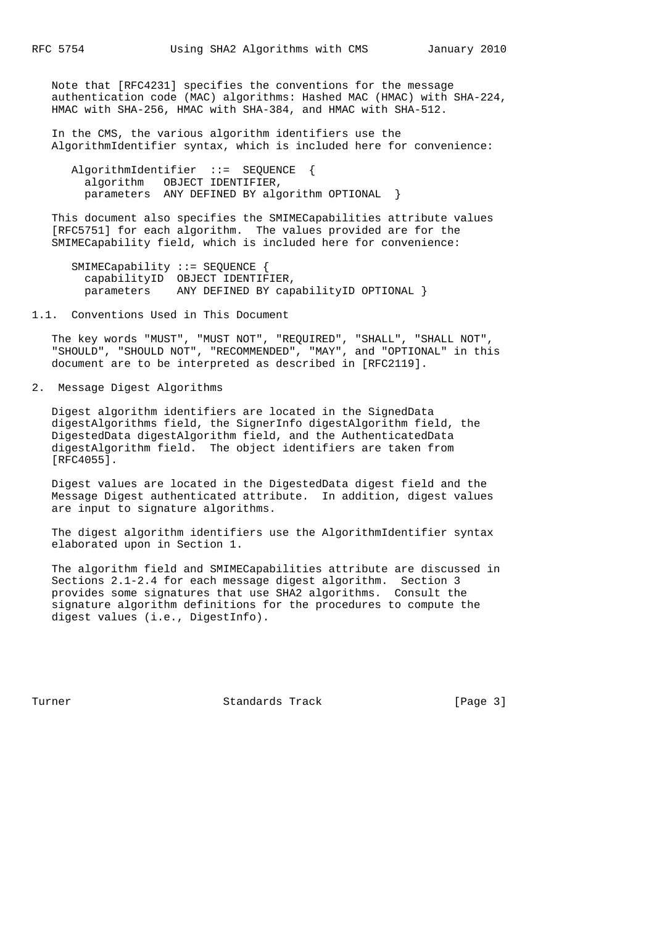Note that [RFC4231] specifies the conventions for the message authentication code (MAC) algorithms: Hashed MAC (HMAC) with SHA-224, HMAC with SHA-256, HMAC with SHA-384, and HMAC with SHA-512.

 In the CMS, the various algorithm identifiers use the AlgorithmIdentifier syntax, which is included here for convenience:

 AlgorithmIdentifier ::= SEQUENCE { algorithm OBJECT IDENTIFIER, parameters ANY DEFINED BY algorithm OPTIONAL }

 This document also specifies the SMIMECapabilities attribute values [RFC5751] for each algorithm. The values provided are for the SMIMECapability field, which is included here for convenience:

 SMIMECapability ::= SEQUENCE { capabilityID OBJECT IDENTIFIER, parameters ANY DEFINED BY capabilityID OPTIONAL }

1.1. Conventions Used in This Document

 The key words "MUST", "MUST NOT", "REQUIRED", "SHALL", "SHALL NOT", "SHOULD", "SHOULD NOT", "RECOMMENDED", "MAY", and "OPTIONAL" in this document are to be interpreted as described in [RFC2119].

2. Message Digest Algorithms

 Digest algorithm identifiers are located in the SignedData digestAlgorithms field, the SignerInfo digestAlgorithm field, the DigestedData digestAlgorithm field, and the AuthenticatedData digestAlgorithm field. The object identifiers are taken from [RFC4055].

 Digest values are located in the DigestedData digest field and the Message Digest authenticated attribute. In addition, digest values are input to signature algorithms.

 The digest algorithm identifiers use the AlgorithmIdentifier syntax elaborated upon in Section 1.

 The algorithm field and SMIMECapabilities attribute are discussed in Sections 2.1-2.4 for each message digest algorithm. Section 3 provides some signatures that use SHA2 algorithms. Consult the signature algorithm definitions for the procedures to compute the digest values (i.e., DigestInfo).

Turner Standards Track [Page 3]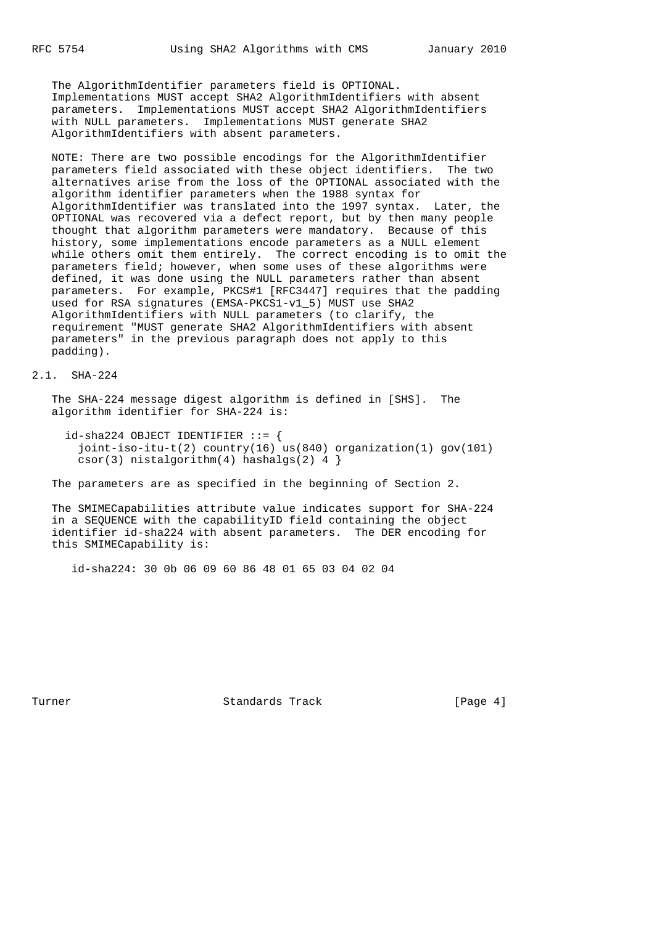The AlgorithmIdentifier parameters field is OPTIONAL. Implementations MUST accept SHA2 AlgorithmIdentifiers with absent parameters. Implementations MUST accept SHA2 AlgorithmIdentifiers with NULL parameters. Implementations MUST generate SHA2 AlgorithmIdentifiers with absent parameters.

 NOTE: There are two possible encodings for the AlgorithmIdentifier parameters field associated with these object identifiers. The two alternatives arise from the loss of the OPTIONAL associated with the algorithm identifier parameters when the 1988 syntax for AlgorithmIdentifier was translated into the 1997 syntax. Later, the OPTIONAL was recovered via a defect report, but by then many people thought that algorithm parameters were mandatory. Because of this history, some implementations encode parameters as a NULL element while others omit them entirely. The correct encoding is to omit the parameters field; however, when some uses of these algorithms were defined, it was done using the NULL parameters rather than absent parameters. For example, PKCS#1 [RFC3447] requires that the padding used for RSA signatures (EMSA-PKCS1-v1\_5) MUST use SHA2 AlgorithmIdentifiers with NULL parameters (to clarify, the requirement "MUST generate SHA2 AlgorithmIdentifiers with absent parameters" in the previous paragraph does not apply to this padding).

## 2.1. SHA-224

 The SHA-224 message digest algorithm is defined in [SHS]. The algorithm identifier for SHA-224 is:

 id-sha224 OBJECT IDENTIFIER ::= { joint-iso-itu-t(2) country(16) us(840) organization(1) gov(101)  $csor(3)$  nistalgorithm(4) hashalgs(2) 4 }

The parameters are as specified in the beginning of Section 2.

 The SMIMECapabilities attribute value indicates support for SHA-224 in a SEQUENCE with the capabilityID field containing the object identifier id-sha224 with absent parameters. The DER encoding for this SMIMECapability is:

id-sha224: 30 0b 06 09 60 86 48 01 65 03 04 02 04

Turner Standards Track [Page 4]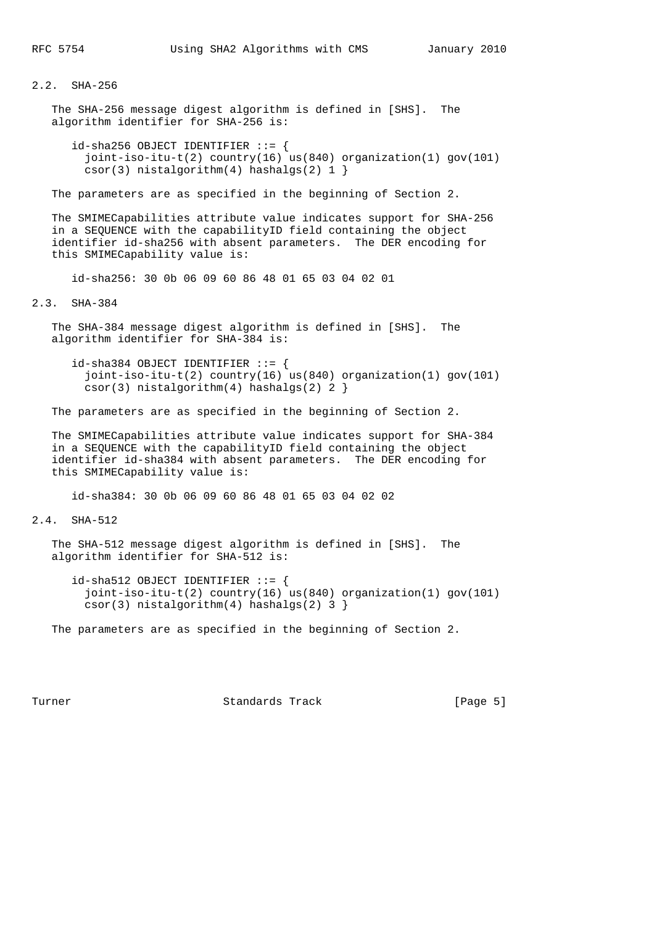# 2.2. SHA-256

 The SHA-256 message digest algorithm is defined in [SHS]. The algorithm identifier for SHA-256 is:

 $id$ -sha256 OBJECT IDENTIFIER  $::=$  { joint-iso-itu-t(2) country(16) us(840) organization(1) gov(101)  $csor(3)$  nistalgorithm(4) hashalgs(2) 1 }

The parameters are as specified in the beginning of Section 2.

 The SMIMECapabilities attribute value indicates support for SHA-256 in a SEQUENCE with the capabilityID field containing the object identifier id-sha256 with absent parameters. The DER encoding for this SMIMECapability value is:

id-sha256: 30 0b 06 09 60 86 48 01 65 03 04 02 01

2.3. SHA-384

 The SHA-384 message digest algorithm is defined in [SHS]. The algorithm identifier for SHA-384 is:

 $id$ -sha384 OBJECT IDENTIFIER  $::=$  { joint-iso-itu-t(2) country(16) us(840) organization(1) gov(101)  $csor(3)$  nistalgorithm(4) hashalgs(2) 2 }

The parameters are as specified in the beginning of Section 2.

 The SMIMECapabilities attribute value indicates support for SHA-384 in a SEQUENCE with the capabilityID field containing the object identifier id-sha384 with absent parameters. The DER encoding for this SMIMECapability value is:

id-sha384: 30 0b 06 09 60 86 48 01 65 03 04 02 02

2.4. SHA-512

 The SHA-512 message digest algorithm is defined in [SHS]. The algorithm identifier for SHA-512 is:

 id-sha512 OBJECT IDENTIFIER ::= { joint-iso-itu-t(2) country(16) us(840) organization(1) gov(101) csor(3) nistalgorithm(4) hashalgs(2) 3 }

The parameters are as specified in the beginning of Section 2.

Turner Standards Track [Page 5]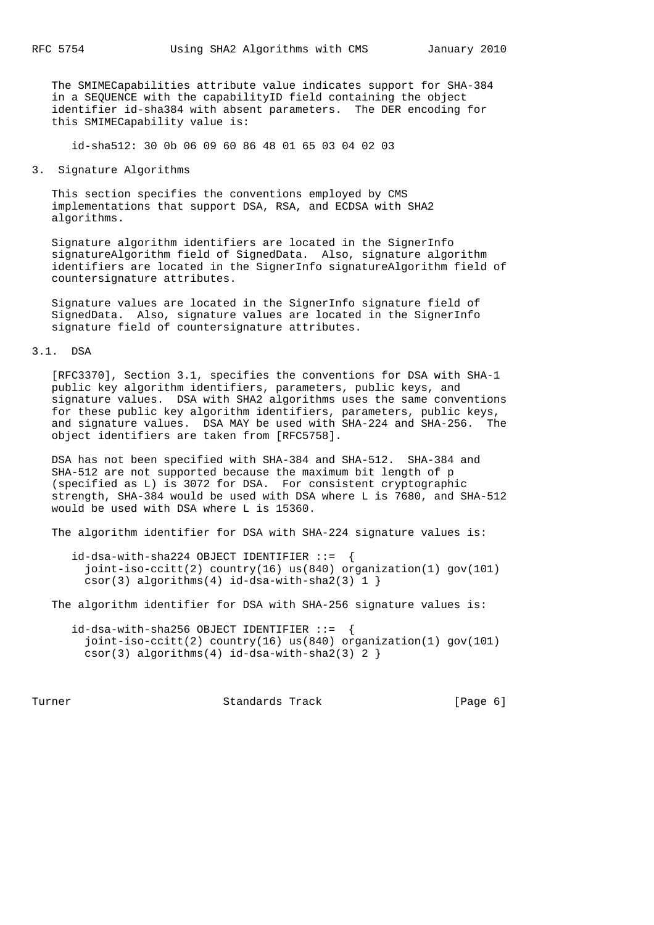The SMIMECapabilities attribute value indicates support for SHA-384 in a SEQUENCE with the capabilityID field containing the object identifier id-sha384 with absent parameters. The DER encoding for this SMIMECapability value is:

id-sha512: 30 0b 06 09 60 86 48 01 65 03 04 02 03

#### 3. Signature Algorithms

 This section specifies the conventions employed by CMS implementations that support DSA, RSA, and ECDSA with SHA2 algorithms.

 Signature algorithm identifiers are located in the SignerInfo signatureAlgorithm field of SignedData. Also, signature algorithm identifiers are located in the SignerInfo signatureAlgorithm field of countersignature attributes.

 Signature values are located in the SignerInfo signature field of SignedData. Also, signature values are located in the SignerInfo signature field of countersignature attributes.

## 3.1. DSA

 [RFC3370], Section 3.1, specifies the conventions for DSA with SHA-1 public key algorithm identifiers, parameters, public keys, and signature values. DSA with SHA2 algorithms uses the same conventions for these public key algorithm identifiers, parameters, public keys, and signature values. DSA MAY be used with SHA-224 and SHA-256. The object identifiers are taken from [RFC5758].

 DSA has not been specified with SHA-384 and SHA-512. SHA-384 and SHA-512 are not supported because the maximum bit length of p (specified as L) is 3072 for DSA. For consistent cryptographic strength, SHA-384 would be used with DSA where L is 7680, and SHA-512 would be used with DSA where L is 15360.

The algorithm identifier for DSA with SHA-224 signature values is:

```
 id-dsa-with-sha224 OBJECT IDENTIFIER ::= {
 joint-iso-ccitt(2) country(16) us(840) organization(1) gov(101)
csor(3) algorithms(4) id-dsa-with-sha2(3) 1 }
```
The algorithm identifier for DSA with SHA-256 signature values is:

 id-dsa-with-sha256 OBJECT IDENTIFIER ::= { joint-iso-ccitt(2) country(16) us(840) organization(1) gov(101) csor(3) algorithms(4) id-dsa-with-sha2(3) 2 }

Turner **Standards Track** (Page 6)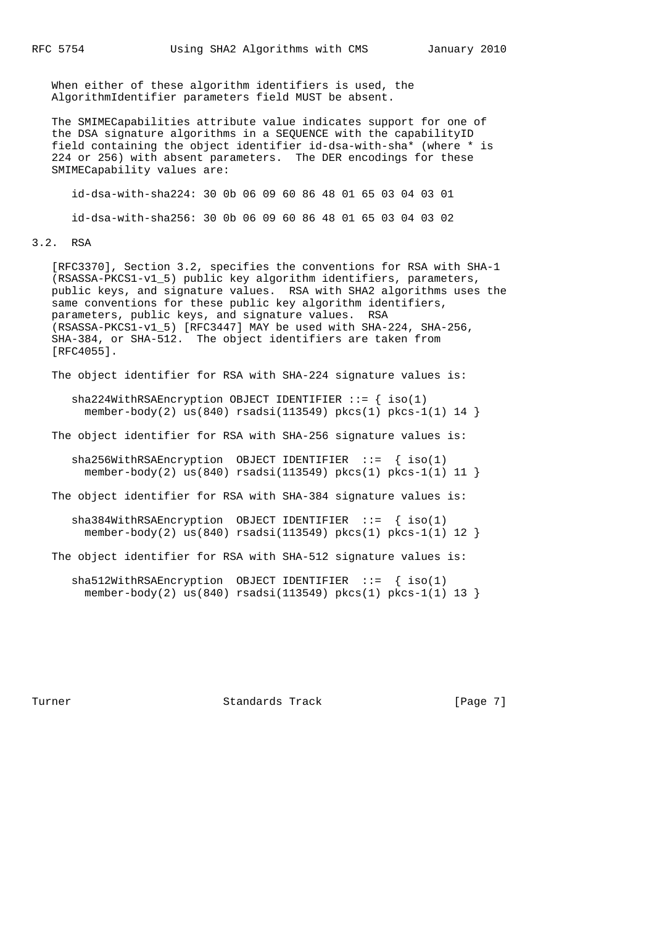When either of these algorithm identifiers is used, the AlgorithmIdentifier parameters field MUST be absent.

 The SMIMECapabilities attribute value indicates support for one of the DSA signature algorithms in a SEQUENCE with the capabilityID field containing the object identifier id-dsa-with-sha\* (where \* is 224 or 256) with absent parameters. The DER encodings for these SMIMECapability values are:

id-dsa-with-sha224: 30 0b 06 09 60 86 48 01 65 03 04 03 01

id-dsa-with-sha256: 30 0b 06 09 60 86 48 01 65 03 04 03 02

#### 3.2. RSA

 [RFC3370], Section 3.2, specifies the conventions for RSA with SHA-1 (RSASSA-PKCS1-v1\_5) public key algorithm identifiers, parameters, public keys, and signature values. RSA with SHA2 algorithms uses the same conventions for these public key algorithm identifiers, parameters, public keys, and signature values. RSA (RSASSA-PKCS1-v1\_5) [RFC3447] MAY be used with SHA-224, SHA-256, SHA-384, or SHA-512. The object identifiers are taken from [RFC4055].

The object identifier for RSA with SHA-224 signature values is:

sha224WithRSAEncryption OBJECT IDENTIFIER  $::=$  { iso(1) member-body(2) us(840) rsadsi(113549) pkcs(1) pkcs-1(1)  $14$ 

The object identifier for RSA with SHA-256 signature values is:

sha256WithRSAEncryption OBJECT IDENTIFIER  $::=$  { iso(1) member-body(2) us(840) rsadsi(113549) pkcs(1) pkcs-1(1) 11 }

The object identifier for RSA with SHA-384 signature values is:

sha384WithRSAEncryption OBJECT IDENTIFIER  $::=$  { iso(1) member-body(2) us(840) rsadsi(113549) pkcs(1) pkcs-1(1) 12 }

The object identifier for RSA with SHA-512 signature values is:

 sha512WithRSAEncryption OBJECT IDENTIFIER ::= { iso(1) member-body(2) us(840) rsadsi(113549) pkcs(1) pkcs-1(1) 13 }

Turner Standards Track [Page 7]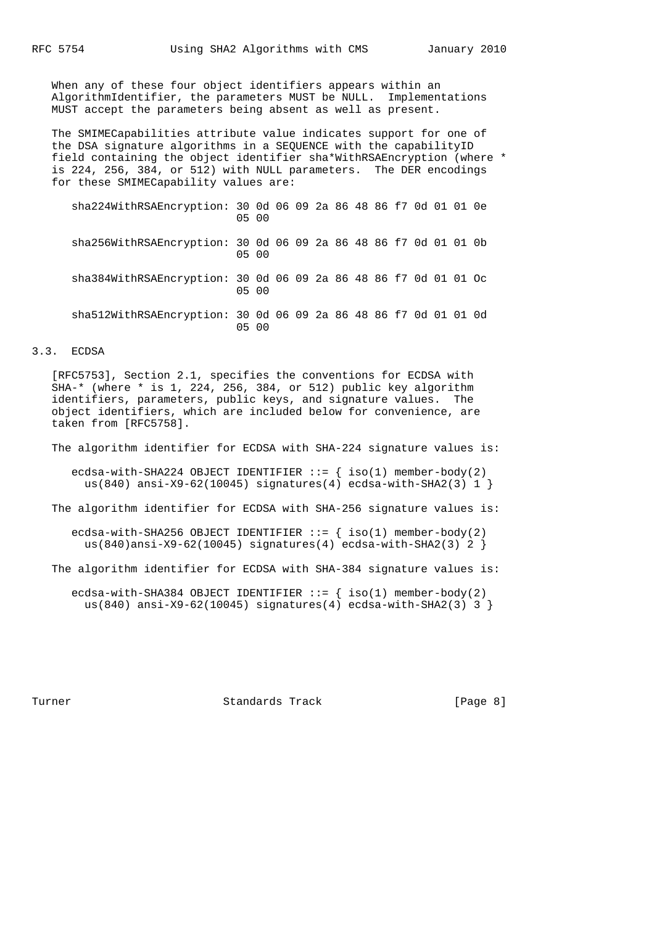When any of these four object identifiers appears within an AlgorithmIdentifier, the parameters MUST be NULL. Implementations MUST accept the parameters being absent as well as present.

 The SMIMECapabilities attribute value indicates support for one of the DSA signature algorithms in a SEQUENCE with the capabilityID field containing the object identifier sha\*WithRSAEncryption (where \* is 224, 256, 384, or 512) with NULL parameters. The DER encodings for these SMIMECapability values are:

| sha224WithRSAEncryption: 30 0d 06 09 2a 86 48 86 f7 0d 01 01 0e | 05 00 |  |  |  |  |  |  |
|-----------------------------------------------------------------|-------|--|--|--|--|--|--|
| sha256WithRSAEncryption: 30 0d 06 09 2a 86 48 86 f7 0d 01 01 0b | 05 00 |  |  |  |  |  |  |
| sha384WithRSAEncryption: 30 0d 06 09 2a 86 48 86 f7 0d 01 01 Oc | 05 00 |  |  |  |  |  |  |
| sha512WithRSAEncryption: 30 0d 06 09 2a 86 48 86 f7 0d 01 01 0d | 05 00 |  |  |  |  |  |  |

## 3.3. ECDSA

 [RFC5753], Section 2.1, specifies the conventions for ECDSA with SHA-\* (where \* is 1, 224, 256, 384, or 512) public key algorithm identifiers, parameters, public keys, and signature values. The object identifiers, which are included below for convenience, are taken from [RFC5758].

The algorithm identifier for ECDSA with SHA-224 signature values is:

ecdsa-with-SHA224 OBJECT IDENTIFIER  $::=$  { iso(1) member-body(2) us(840) ansi-X9-62(10045) signatures(4) ecdsa-with-SHA2(3)  $1$  }

The algorithm identifier for ECDSA with SHA-256 signature values is:

ecdsa-with-SHA256 OBJECT IDENTIFIER  $::=$  { iso(1) member-body(2) us(840)ansi-X9-62(10045) signatures(4) ecdsa-with-SHA2(3) 2 }

The algorithm identifier for ECDSA with SHA-384 signature values is:

ecdsa-with-SHA384 OBJECT IDENTIFIER  $::=$  { iso(1) member-body(2) us(840) ansi-X9-62(10045) signatures(4) ecdsa-with-SHA2(3) 3 }

Turner Standards Track [Page 8]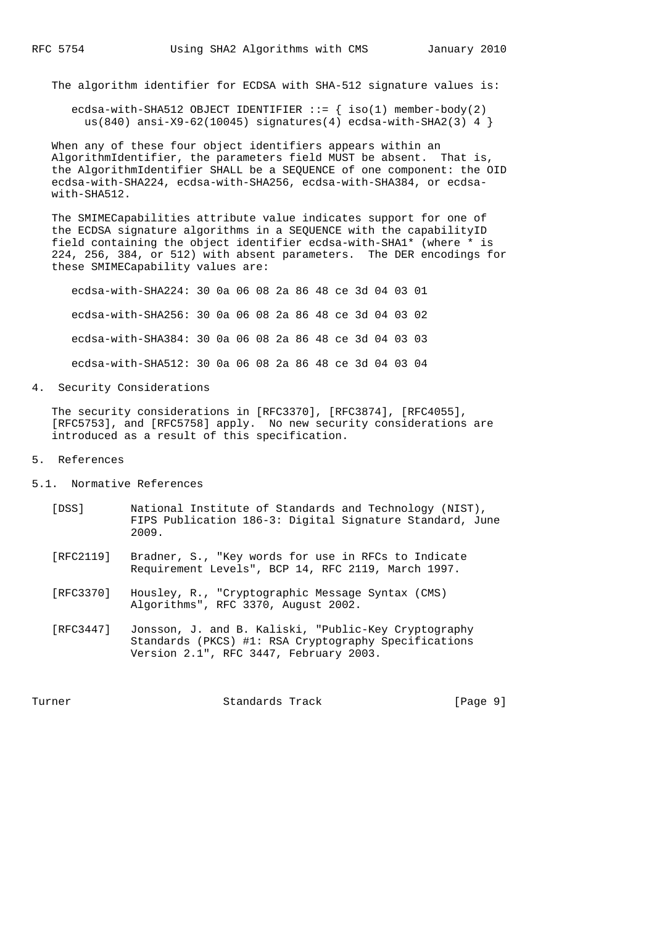The algorithm identifier for ECDSA with SHA-512 signature values is:

ecdsa-with-SHA512 OBJECT IDENTIFIER  $::=$  { iso(1) member-body(2) us(840) ansi-X9-62(10045) signatures(4) ecdsa-with-SHA2(3) 4 }

 When any of these four object identifiers appears within an AlgorithmIdentifier, the parameters field MUST be absent. That is, the AlgorithmIdentifier SHALL be a SEQUENCE of one component: the OID ecdsa-with-SHA224, ecdsa-with-SHA256, ecdsa-with-SHA384, or ecdsa with-SHA512.

 The SMIMECapabilities attribute value indicates support for one of the ECDSA signature algorithms in a SEQUENCE with the capabilityID field containing the object identifier ecdsa-with-SHA1\* (where \* is 224, 256, 384, or 512) with absent parameters. The DER encodings for these SMIMECapability values are:

 ecdsa-with-SHA224: 30 0a 06 08 2a 86 48 ce 3d 04 03 01 ecdsa-with-SHA256: 30 0a 06 08 2a 86 48 ce 3d 04 03 02 ecdsa-with-SHA384: 30 0a 06 08 2a 86 48 ce 3d 04 03 03 ecdsa-with-SHA512: 30 0a 06 08 2a 86 48 ce 3d 04 03 04

4. Security Considerations

 The security considerations in [RFC3370], [RFC3874], [RFC4055], [RFC5753], and [RFC5758] apply. No new security considerations are introduced as a result of this specification.

- 5. References
- 5.1. Normative References
	- [DSS] National Institute of Standards and Technology (NIST), FIPS Publication 186-3: Digital Signature Standard, June 2009.
	- [RFC2119] Bradner, S., "Key words for use in RFCs to Indicate Requirement Levels", BCP 14, RFC 2119, March 1997.
	- [RFC3370] Housley, R., "Cryptographic Message Syntax (CMS) Algorithms", RFC 3370, August 2002.
	- [RFC3447] Jonsson, J. and B. Kaliski, "Public-Key Cryptography Standards (PKCS) #1: RSA Cryptography Specifications Version 2.1", RFC 3447, February 2003.

Turner Standards Track [Page 9]